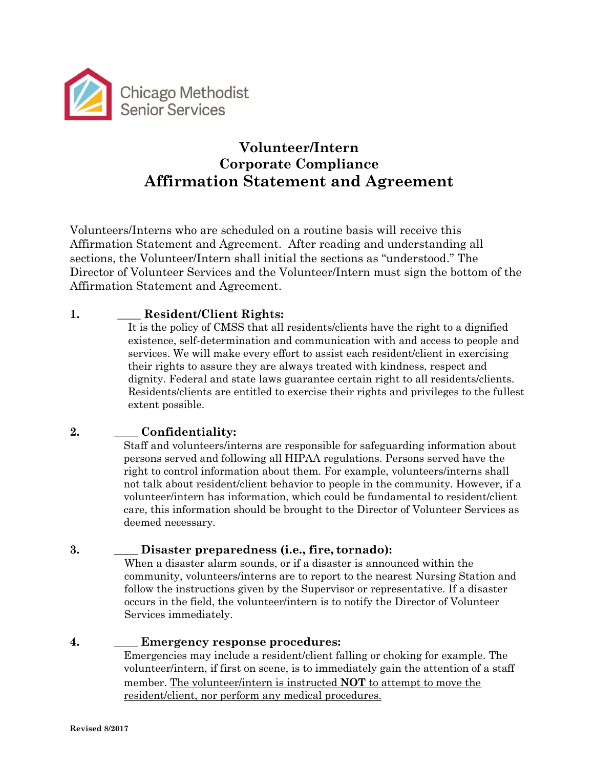

# **Volunteer/Intern Corporate Compliance Affirmation Statement and Agreement**

Volunteers/Interns who are scheduled on a routine basis will receive this Affirmation Statement and Agreement. After reading and understanding all sections, the Volunteer/Intern shall initial the sections as "understood." The Director of Volunteer Services and the Volunteer/Intern must sign the bottom of the Affirmation Statement and Agreement.

# **1.** \_\_\_\_ **Resident/Client Rights:**

It is the policy of CMSS that all residents/clients have the right to a dignified existence, self-determination and communication with and access to people and services. We will make every effort to assist each resident/client in exercising their rights to assure they are always treated with kindness, respect and dignity. Federal and state laws guarantee certain right to all residents/clients. Residents/clients are entitled to exercise their rights and privileges to the fullest extent possible.

# **2.** \_\_\_\_ **Confidentiality:**

Staff and volunteers/interns are responsible for safeguarding information about persons served and following all HIPAA regulations. Persons served have the right to control information about them. For example, volunteers/interns shall not talk about resident/client behavior to people in the community. However, if a volunteer/intern has information, which could be fundamental to resident/client care, this information should be brought to the Director of Volunteer Services as deemed necessary.

# **3.** \_\_\_\_ **Disaster preparedness (i.e., fire, tornado):**

When a disaster alarm sounds, or if a disaster is announced within the community, volunteers/interns are to report to the nearest Nursing Station and follow the instructions given by the Supervisor or representative. If a disaster occurs in the field, the volunteer/intern is to notify the Director of Volunteer Services immediately.

#### **4.** \_\_\_\_ **Emergency response procedures:**

Emergencies may include a resident/client falling or choking for example. The volunteer/intern, if first on scene, is to immediately gain the attention of a staff member. The volunteer/intern is instructed **NOT** to attempt to move the resident/client, nor perform any medical procedures.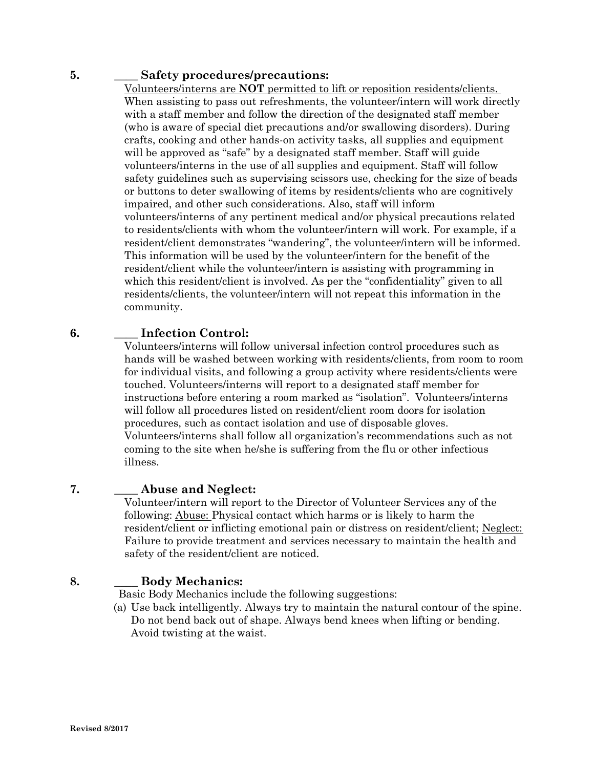#### **5.** \_\_\_\_ **Safety procedures/precautions:**

Volunteers/interns are **NOT** permitted to lift or reposition residents/clients. When assisting to pass out refreshments, the volunteer/intern will work directly with a staff member and follow the direction of the designated staff member (who is aware of special diet precautions and/or swallowing disorders). During crafts, cooking and other hands-on activity tasks, all supplies and equipment will be approved as "safe" by a designated staff member. Staff will guide volunteers/interns in the use of all supplies and equipment. Staff will follow safety guidelines such as supervising scissors use, checking for the size of beads or buttons to deter swallowing of items by residents/clients who are cognitively impaired, and other such considerations. Also, staff will inform volunteers/interns of any pertinent medical and/or physical precautions related to residents/clients with whom the volunteer/intern will work. For example, if a resident/client demonstrates "wandering", the volunteer/intern will be informed. This information will be used by the volunteer/intern for the benefit of the resident/client while the volunteer/intern is assisting with programming in which this resident/client is involved. As per the "confidentiality" given to all residents/clients, the volunteer/intern will not repeat this information in the community.

#### **6.** \_\_\_\_ **Infection Control:**

Volunteers/interns will follow universal infection control procedures such as hands will be washed between working with residents/clients, from room to room for individual visits, and following a group activity where residents/clients were touched. Volunteers/interns will report to a designated staff member for instructions before entering a room marked as "isolation". Volunteers/interns will follow all procedures listed on resident/client room doors for isolation procedures, such as contact isolation and use of disposable gloves. Volunteers/interns shall follow all organization's recommendations such as not coming to the site when he/she is suffering from the flu or other infectious illness.

#### **7.** \_\_\_\_ **Abuse and Neglect:**

Volunteer/intern will report to the Director of Volunteer Services any of the following: Abuse: Physical contact which harms or is likely to harm the resident/client or inflicting emotional pain or distress on resident/client; Neglect: Failure to provide treatment and services necessary to maintain the health and safety of the resident/client are noticed.

#### **8.** \_\_\_\_ **Body Mechanics:**

Basic Body Mechanics include the following suggestions:

(a) Use back intelligently. Always try to maintain the natural contour of the spine. Do not bend back out of shape. Always bend knees when lifting or bending. Avoid twisting at the waist.